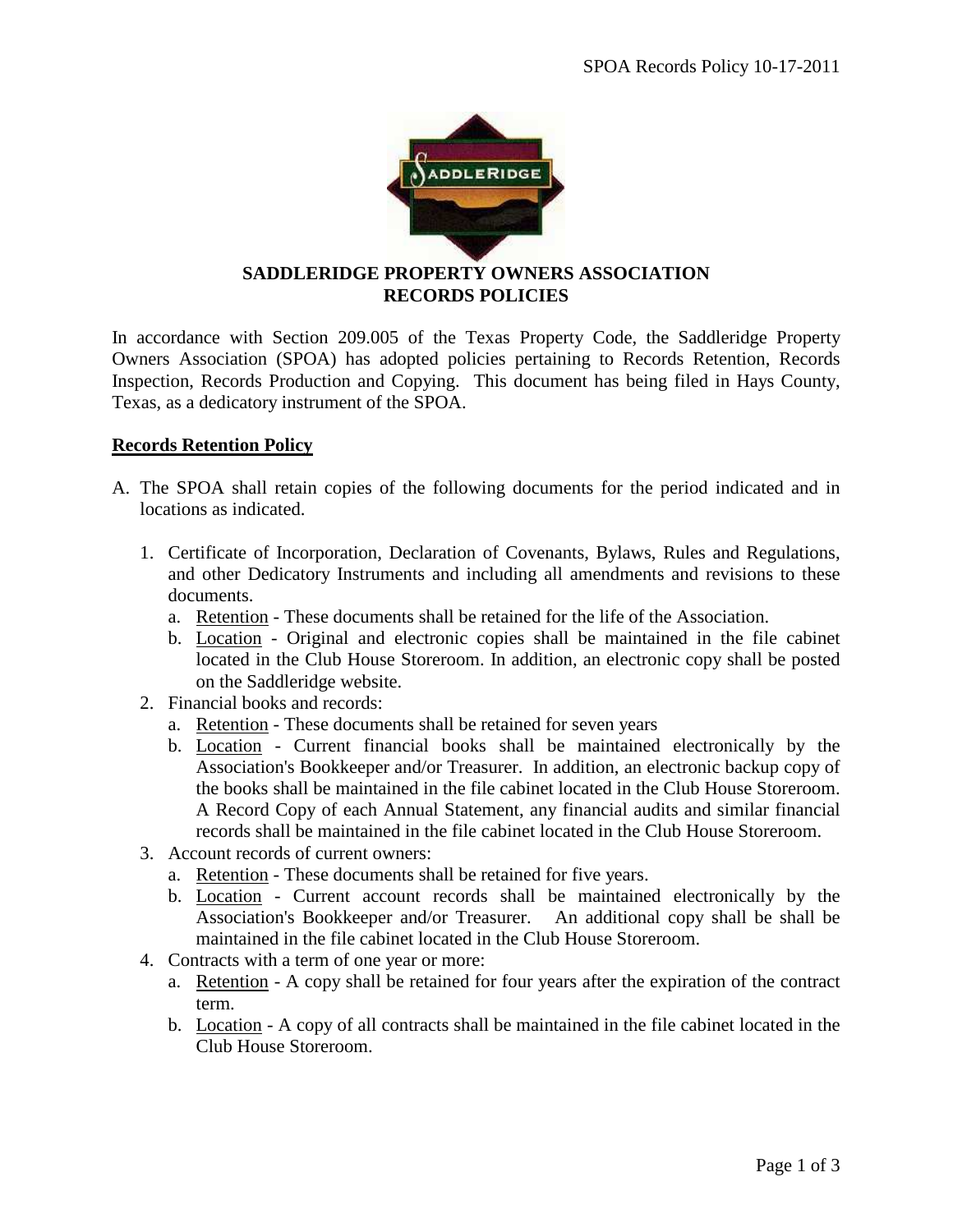

## **SADDLERIDGE PROPERTY OWNERS ASSOCIATION RECORDS POLICIES**

In accordance with Section 209.005 of the Texas Property Code, the Saddleridge Property Owners Association (SPOA) has adopted policies pertaining to Records Retention, Records Inspection, Records Production and Copying. This document has being filed in Hays County, Texas, as a dedicatory instrument of the SPOA.

## **Records Retention Policy**

- A. The SPOA shall retain copies of the following documents for the period indicated and in locations as indicated.
	- 1. Certificate of Incorporation, Declaration of Covenants, Bylaws, Rules and Regulations, and other Dedicatory Instruments and including all amendments and revisions to these documents.
		- a. Retention These documents shall be retained for the life of the Association.
		- b. Location Original and electronic copies shall be maintained in the file cabinet located in the Club House Storeroom. In addition, an electronic copy shall be posted on the Saddleridge website.
	- 2. Financial books and records:
		- a. Retention These documents shall be retained for seven years
		- b. Location Current financial books shall be maintained electronically by the Association's Bookkeeper and/or Treasurer. In addition, an electronic backup copy of the books shall be maintained in the file cabinet located in the Club House Storeroom. A Record Copy of each Annual Statement, any financial audits and similar financial records shall be maintained in the file cabinet located in the Club House Storeroom.
	- 3. Account records of current owners:
		- a. Retention These documents shall be retained for five years.
		- b. Location Current account records shall be maintained electronically by the Association's Bookkeeper and/or Treasurer. An additional copy shall be shall be maintained in the file cabinet located in the Club House Storeroom.
	- 4. Contracts with a term of one year or more:
		- a. Retention A copy shall be retained for four years after the expiration of the contract term.
		- b. Location A copy of all contracts shall be maintained in the file cabinet located in the Club House Storeroom.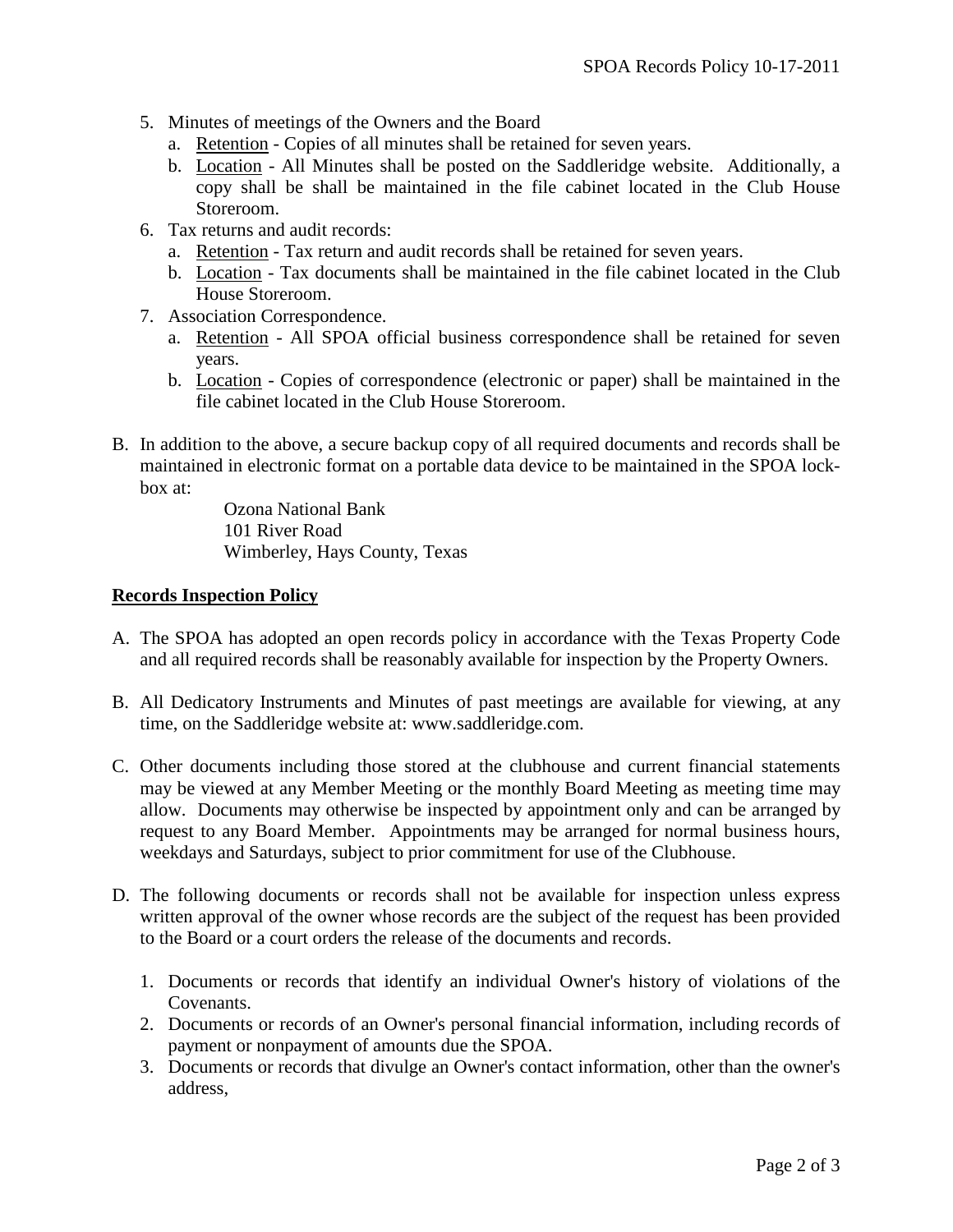- 5. Minutes of meetings of the Owners and the Board
	- a. Retention Copies of all minutes shall be retained for seven years.
	- b. Location All Minutes shall be posted on the Saddleridge website. Additionally, a copy shall be shall be maintained in the file cabinet located in the Club House Storeroom.
- 6. Tax returns and audit records:
	- a. Retention Tax return and audit records shall be retained for seven years.
	- b. Location Tax documents shall be maintained in the file cabinet located in the Club House Storeroom.
- 7. Association Correspondence.
	- a. Retention All SPOA official business correspondence shall be retained for seven years.
	- b. Location Copies of correspondence (electronic or paper) shall be maintained in the file cabinet located in the Club House Storeroom.
- B. In addition to the above, a secure backup copy of all required documents and records shall be maintained in electronic format on a portable data device to be maintained in the SPOA lockbox at:

Ozona National Bank 101 River Road Wimberley, Hays County, Texas

## **Records Inspection Policy**

- A. The SPOA has adopted an open records policy in accordance with the Texas Property Code and all required records shall be reasonably available for inspection by the Property Owners.
- B. All Dedicatory Instruments and Minutes of past meetings are available for viewing, at any time, on the Saddleridge website at: www.saddleridge.com.
- C. Other documents including those stored at the clubhouse and current financial statements may be viewed at any Member Meeting or the monthly Board Meeting as meeting time may allow. Documents may otherwise be inspected by appointment only and can be arranged by request to any Board Member. Appointments may be arranged for normal business hours, weekdays and Saturdays, subject to prior commitment for use of the Clubhouse.
- D. The following documents or records shall not be available for inspection unless express written approval of the owner whose records are the subject of the request has been provided to the Board or a court orders the release of the documents and records.
	- 1. Documents or records that identify an individual Owner's history of violations of the Covenants.
	- 2. Documents or records of an Owner's personal financial information, including records of payment or nonpayment of amounts due the SPOA.
	- 3. Documents or records that divulge an Owner's contact information, other than the owner's address,